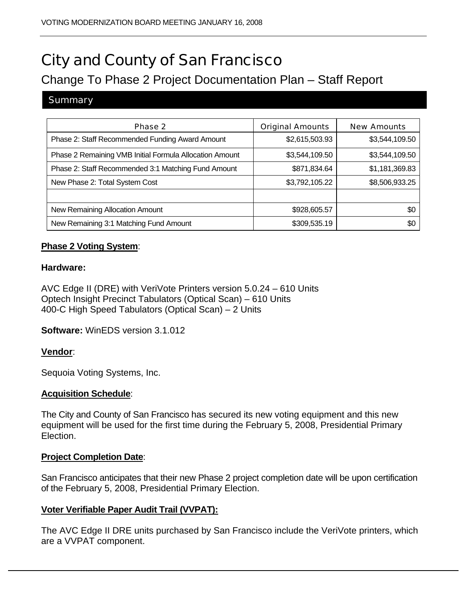# City and County of San Francisco

# Change To Phase 2 Project Documentation Plan – Staff Report

# **Summary**

| Phase 2                                                 | <b>Original Amounts</b> | <b>New Amounts</b> |
|---------------------------------------------------------|-------------------------|--------------------|
| Phase 2: Staff Recommended Funding Award Amount         | \$2,615,503.93          | \$3,544,109.50     |
| Phase 2 Remaining VMB Initial Formula Allocation Amount | \$3,544,109.50          | \$3,544,109.50     |
| Phase 2: Staff Recommended 3:1 Matching Fund Amount     | \$871,834.64            | \$1,181,369.83     |
| New Phase 2: Total System Cost                          | \$3,792,105.22          | \$8,506,933.25     |
|                                                         |                         |                    |
| New Remaining Allocation Amount                         | \$928,605.57            | \$0                |
| New Remaining 3:1 Matching Fund Amount                  | \$309,535.19            | \$Ο                |

# **Phase 2 Voting System**:

#### **Hardware:**

AVC Edge II (DRE) with VeriVote Printers version 5.0.24 – 610 Units Optech Insight Precinct Tabulators (Optical Scan) – 610 Units 400-C High Speed Tabulators (Optical Scan) – 2 Units

**Software:** WinEDS version 3.1.012

# **Vendor**:

Sequoia Voting Systems, Inc.

#### **Acquisition Schedule**:

The City and County of San Francisco has secured its new voting equipment and this new equipment will be used for the first time during the February 5, 2008, Presidential Primary Election.

#### **Project Completion Date**:

San Francisco anticipates that their new Phase 2 project completion date will be upon certification of the February 5, 2008, Presidential Primary Election.

# **Voter Verifiable Paper Audit Trail (VVPAT):**

The AVC Edge II DRE units purchased by San Francisco include the VeriVote printers, which are a VVPAT component.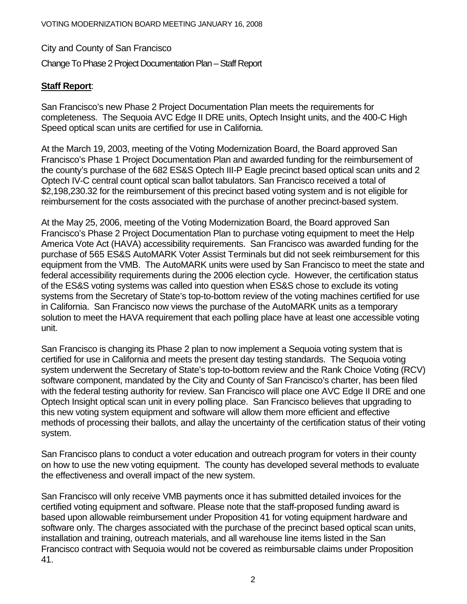City and County of San Francisco

Change To Phase 2 Project Documentation Plan – Staff Report

# **Staff Report**:

San Francisco's new Phase 2 Project Documentation Plan meets the requirements for completeness. The Sequoia AVC Edge II DRE units, Optech Insight units, and the 400-C High Speed optical scan units are certified for use in California.

At the March 19, 2003, meeting of the Voting Modernization Board, the Board approved San Francisco's Phase 1 Project Documentation Plan and awarded funding for the reimbursement of the county's purchase of the 682 ES&S Optech III-P Eagle precinct based optical scan units and 2 Optech IV-C central count optical scan ballot tabulators. San Francisco received a total of \$2,198,230.32 for the reimbursement of this precinct based voting system and is not eligible for reimbursement for the costs associated with the purchase of another precinct-based system.

At the May 25, 2006, meeting of the Voting Modernization Board, the Board approved San Francisco's Phase 2 Project Documentation Plan to purchase voting equipment to meet the Help America Vote Act (HAVA) accessibility requirements. San Francisco was awarded funding for the purchase of 565 ES&S AutoMARK Voter Assist Terminals but did not seek reimbursement for this equipment from the VMB. The AutoMARK units were used by San Francisco to meet the state and federal accessibility requirements during the 2006 election cycle. However, the certification status of the ES&S voting systems was called into question when ES&S chose to exclude its voting systems from the Secretary of State's top-to-bottom review of the voting machines certified for use in California. San Francisco now views the purchase of the AutoMARK units as a temporary solution to meet the HAVA requirement that each polling place have at least one accessible voting unit.

San Francisco is changing its Phase 2 plan to now implement a Sequoia voting system that is certified for use in California and meets the present day testing standards. The Sequoia voting system underwent the Secretary of State's top-to-bottom review and the Rank Choice Voting (RCV) software component, mandated by the City and County of San Francisco's charter, has been filed with the federal testing authority for review. San Francisco will place one AVC Edge II DRE and one Optech Insight optical scan unit in every polling place. San Francisco believes that upgrading to this new voting system equipment and software will allow them more efficient and effective methods of processing their ballots, and allay the uncertainty of the certification status of their voting system.

San Francisco plans to conduct a voter education and outreach program for voters in their county on how to use the new voting equipment. The county has developed several methods to evaluate the effectiveness and overall impact of the new system.

San Francisco will only receive VMB payments once it has submitted detailed invoices for the certified voting equipment and software. Please note that the staff-proposed funding award is based upon allowable reimbursement under Proposition 41 for voting equipment hardware and software only. The charges associated with the purchase of the precinct based optical scan units, installation and training, outreach materials, and all warehouse line items listed in the San Francisco contract with Sequoia would not be covered as reimbursable claims under Proposition 41.